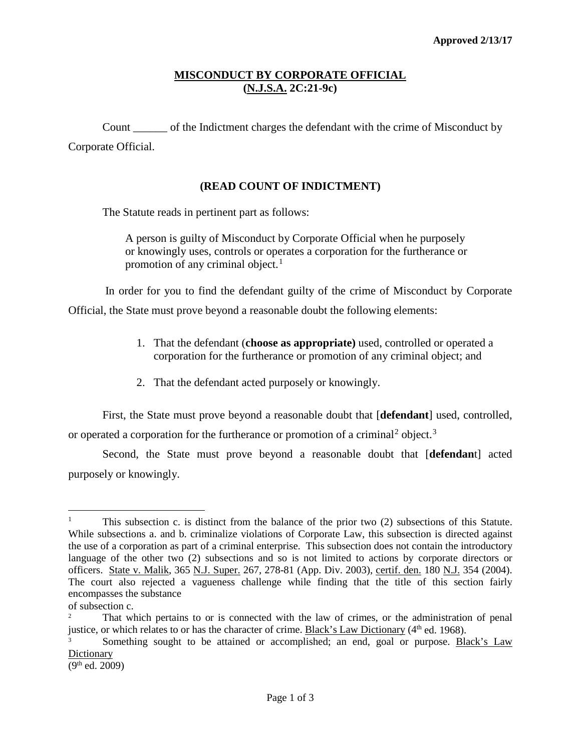## **MISCONDUCT BY CORPORATE OFFICIAL (N.J.S.A. 2C:21-9c)**

Count \_\_\_\_\_\_ of the Indictment charges the defendant with the crime of Misconduct by Corporate Official.

## **(READ COUNT OF INDICTMENT)**

The Statute reads in pertinent part as follows:

 A person is guilty of Misconduct by Corporate Official when he purposely or knowingly uses, controls or operates a corporation for the furtherance or promotion of any criminal object. $<sup>1</sup>$  $<sup>1</sup>$  $<sup>1</sup>$ </sup>

In order for you to find the defendant guilty of the crime of Misconduct by Corporate

Official, the State must prove beyond a reasonable doubt the following elements:

- 1. That the defendant (**choose as appropriate)** used, controlled or operated a corporation for the furtherance or promotion of any criminal object; and
- 2. That the defendant acted purposely or knowingly.

First, the State must prove beyond a reasonable doubt that [**defendant**] used, controlled, or operated a corporation for the furtherance or promotion of a criminal<sup>[2](#page-0-1)</sup> object.<sup>[3](#page-0-2)</sup>

Second, the State must prove beyond a reasonable doubt that [**defendan**t] acted purposely or knowingly.

<span id="page-0-0"></span><sup>&</sup>lt;sup>1</sup> This subsection c. is distinct from the balance of the prior two (2) subsections of this Statute. While subsections a. and b. criminalize violations of Corporate Law, this subsection is directed against the use of a corporation as part of a criminal enterprise. This subsection does not contain the introductory language of the other two (2) subsections and so is not limited to actions by corporate directors or officers. State v. Malik, 365 N.J. Super. 267, 278-81 (App. Div. 2003), certif. den. 180 N.J. 354 (2004). The court also rejected a vagueness challenge while finding that the title of this section fairly encompasses the substance

of subsection c.

<span id="page-0-1"></span><sup>2</sup> That which pertains to or is connected with the law of crimes, or the administration of penal justice, or which relates to or has the character of crime. Black's Law Dictionary (4<sup>th</sup> ed. 1968).

<span id="page-0-2"></span><sup>3</sup> Something sought to be attained or accomplished; an end, goal or purpose. Black's Law **Dictionary** 

<sup>(9</sup>th ed. 2009)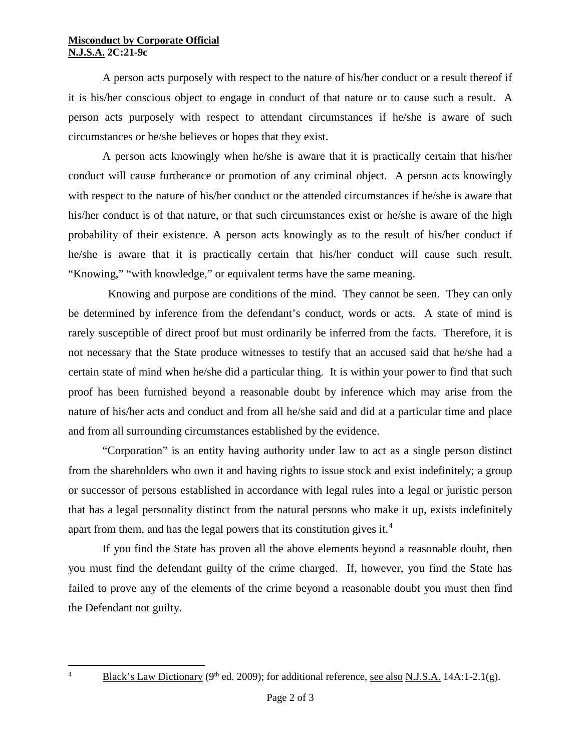## **Misconduct by Corporate Official N.J.S.A. 2C:21-9c**

A person acts purposely with respect to the nature of his/her conduct or a result thereof if it is his/her conscious object to engage in conduct of that nature or to cause such a result. A person acts purposely with respect to attendant circumstances if he/she is aware of such circumstances or he/she believes or hopes that they exist.

A person acts knowingly when he/she is aware that it is practically certain that his/her conduct will cause furtherance or promotion of any criminal object. A person acts knowingly with respect to the nature of his/her conduct or the attended circumstances if he/she is aware that his/her conduct is of that nature, or that such circumstances exist or he/she is aware of the high probability of their existence. A person acts knowingly as to the result of his/her conduct if he/she is aware that it is practically certain that his/her conduct will cause such result. "Knowing," "with knowledge," or equivalent terms have the same meaning.

 Knowing and purpose are conditions of the mind. They cannot be seen. They can only be determined by inference from the defendant's conduct, words or acts. A state of mind is rarely susceptible of direct proof but must ordinarily be inferred from the facts. Therefore, it is not necessary that the State produce witnesses to testify that an accused said that he/she had a certain state of mind when he/she did a particular thing. It is within your power to find that such proof has been furnished beyond a reasonable doubt by inference which may arise from the nature of his/her acts and conduct and from all he/she said and did at a particular time and place and from all surrounding circumstances established by the evidence.

"Corporation" is an entity having authority under law to act as a single person distinct from the shareholders who own it and having rights to issue stock and exist indefinitely; a group or successor of persons established in accordance with legal rules into a legal or juristic person that has a legal personality distinct from the natural persons who make it up, exists indefinitely apart from them, and has the legal powers that its constitution gives it.<sup>[4](#page-1-0)</sup>

If you find the State has proven all the above elements beyond a reasonable doubt, then you must find the defendant guilty of the crime charged. If, however, you find the State has failed to prove any of the elements of the crime beyond a reasonable doubt you must then find the Defendant not guilty.

 $\frac{1}{4}$ 

<span id="page-1-0"></span><sup>&</sup>lt;sup>4</sup> Black's Law Dictionary (9<sup>th</sup> ed. 2009); for additional reference, see also N.J.S.A. 14A:1-2.1(g).